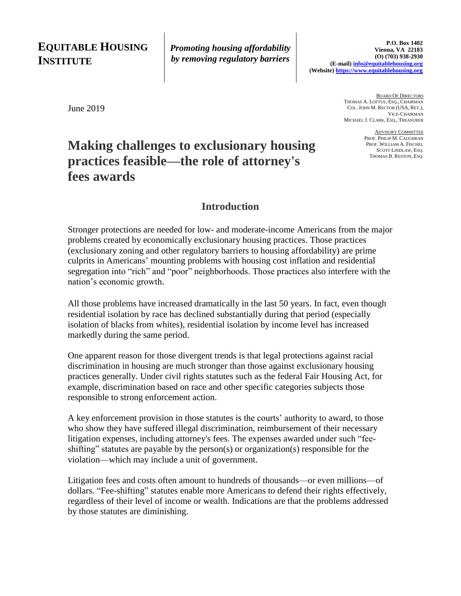## **EQUITABLE HOUSING INSTITUTE**

*Promoting housing affordability by removing regulatory barriers*

June 2019

BOARD OF DIRECTORS THOMAS A. LOFTUS, ESQ., CHAIRMAN COL. JOHN M. RECTOR (USA, RET.), VICE-CHAIRMAN MICHAEL J. CLARK, ESQ., TREASURER

> ADVISORY COMMITTEE PROF. PHILIP M. CAUGHRAN PROF. WILLIAM A. FISCHEL SCOTT LINDLAW, ESQ. THOMAS B. RESTON, ESQ.

# **Making challenges to exclusionary housing practices feasible—the role of attorney's fees awards**

#### **Introduction**

Stronger protections are needed for low- and moderate-income Americans from the major problems created by economically exclusionary housing practices. Those practices (exclusionary zoning and other regulatory barriers to housing affordability) are prime culprits in Americans' mounting problems with housing cost inflation and residential segregation into "rich" and "poor" neighborhoods. Those practices also interfere with the nation's economic growth.

All those problems have increased dramatically in the last 50 years. In fact, even though residential isolation by race has declined substantially during that period (especially isolation of blacks from whites), residential isolation by income level has increased markedly during the same period.

One apparent reason for those divergent trends is that legal protections against racial discrimination in housing are much stronger than those against exclusionary housing practices generally. Under civil rights statutes such as the federal Fair Housing Act, for example, discrimination based on race and other specific categories subjects those responsible to strong enforcement action.

A key enforcement provision in those statutes is the courts' authority to award, to those who show they have suffered illegal discrimination, reimbursement of their necessary litigation expenses, including attorney's fees. The expenses awarded under such "feeshifting" statutes are payable by the person(s) or organization(s) responsible for the violation—which may include a unit of government.

Litigation fees and costs often amount to hundreds of thousands—or even millions—of dollars. "Fee-shifting" statutes enable more Americans to defend their rights effectively, regardless of their level of income or wealth. Indications are that the problems addressed by those statutes are diminishing.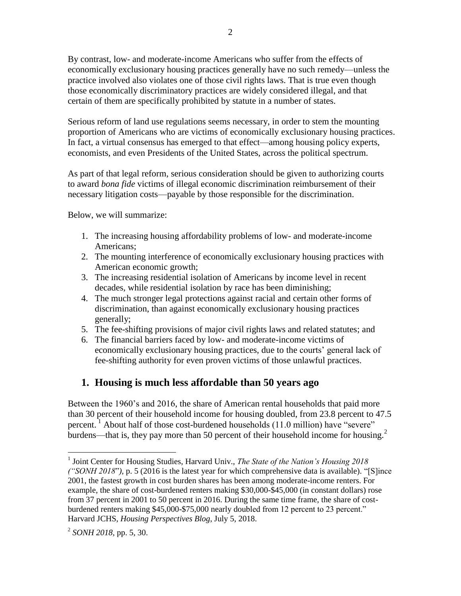By contrast, low- and moderate-income Americans who suffer from the effects of economically exclusionary housing practices generally have no such remedy—unless the practice involved also violates one of those civil rights laws. That is true even though those economically discriminatory practices are widely considered illegal, and that certain of them are specifically prohibited by statute in a number of states.

Serious reform of land use regulations seems necessary, in order to stem the mounting proportion of Americans who are victims of economically exclusionary housing practices. In fact, a virtual consensus has emerged to that effect—among housing policy experts, economists, and even Presidents of the United States, across the political spectrum.

As part of that legal reform, serious consideration should be given to authorizing courts to award *bona fide* victims of illegal economic discrimination reimbursement of their necessary litigation costs—payable by those responsible for the discrimination.

Below, we will summarize:

- 1. The increasing housing affordability problems of low- and moderate-income Americans;
- 2. The mounting interference of economically exclusionary housing practices with American economic growth;
- 3. The increasing residential isolation of Americans by income level in recent decades, while residential isolation by race has been diminishing;
- 4. The much stronger legal protections against racial and certain other forms of discrimination, than against economically exclusionary housing practices generally;
- 5. The fee-shifting provisions of major civil rights laws and related statutes; and
- 6. The financial barriers faced by low- and moderate-income victims of economically exclusionary housing practices, due to the courts' general lack of fee-shifting authority for even proven victims of those unlawful practices.

## **1. Housing is much less affordable than 50 years ago**

Between the 1960's and 2016, the share of American rental households that paid more than 30 percent of their household income for housing doubled, from 23.8 percent to 47.5 percent.  $\frac{1}{1}$  About half of those cost-burdened households (11.0 million) have "severe" burdens—that is, they pay more than 50 percent of their household income for housing.<sup>2</sup>

<sup>&</sup>lt;sup>1</sup> Joint Center for Housing Studies, Harvard Univ., *The State of the Nation's Housing 2018 ("SONH 2018*"*),* p. 5 (2016 is the latest year for which comprehensive data is available). "[S]ince 2001, the fastest growth in cost burden shares has been among moderate-income renters. For example, the share of cost-burdened renters making \$30,000-\$45,000 (in constant dollars) rose from 37 percent in 2001 to 50 percent in 2016. During the same time frame, the share of costburdened renters making \$45,000-\$75,000 nearly doubled from 12 percent to 23 percent." Harvard JCHS, *Housing Perspectives Blog*, July 5, 2018.

<sup>2</sup> *SONH 2018,* pp. 5, 30.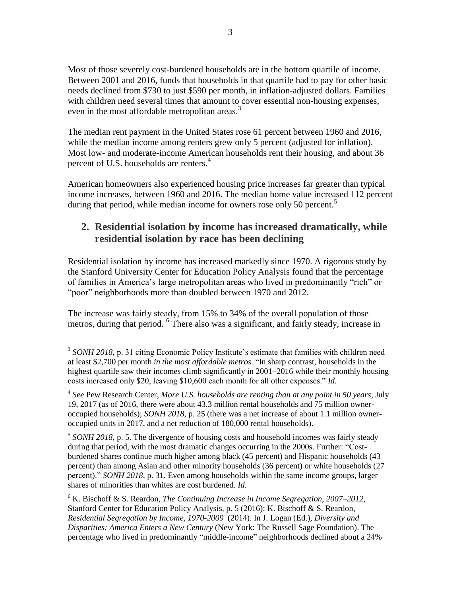Most of those severely cost-burdened households are in the bottom quartile of income. Between 2001 and 2016, funds that households in that quartile had to pay for other basic needs declined from \$730 to just \$590 per month, in inflation-adjusted dollars. Families with children need several times that amount to cover essential non-housing expenses, even in the most affordable metropolitan areas.<sup>3</sup>

The median rent payment in the United States rose 61 percent between 1960 and 2016, while the median income among renters grew only 5 percent (adjusted for inflation). Most low- and moderate-income American households rent their housing, and about 36 percent of U.S. households are renters.<sup>4</sup>

American homeowners also experienced housing price increases far greater than typical income increases, between 1960 and 2016. The median home value increased 112 percent during that period, while median income for owners rose only 50 percent.<sup>5</sup>

### **2. Residential isolation by income has increased dramatically, while residential isolation by race has been declining**

Residential isolation by income has increased markedly since 1970. A rigorous study by the Stanford University Center for Education Policy Analysis found that the percentage of families in America's large metropolitan areas who lived in predominantly "rich" or "poor" neighborhoods more than doubled between 1970 and 2012.

The increase was fairly steady, from 15% to 34% of the overall population of those metros, during that period. 6 There also was a significant, and fairly steady, increase in

<sup>&</sup>lt;sup>3</sup> SONH 2018, p. 31 citing Economic Policy Institute's estimate that families with children need at least \$2,700 per month *in the most affordable metros*. "In sharp contrast, households in the highest quartile saw their incomes climb significantly in 2001–2016 while their monthly housing costs increased only \$20, leaving \$10,600 each month for all other expenses." *Id.*

<sup>4</sup> *See* Pew Research Center, *More U.S. households are renting than at any point in 50 years,* July 19, 2017 (as of 2016, there were about 43.3 million rental households and 75 million owneroccupied households); *SONH 2018,* p. 25 (there was a net increase of about 1.1 million owneroccupied units in 2017, and a net reduction of 180,000 rental households).

<sup>&</sup>lt;sup>5</sup> SONH 2018, p. 5. The divergence of housing costs and household incomes was fairly steady during that period, with the most dramatic changes occurring in the 2000s. Further: "Costburdened shares continue much higher among black (45 percent) and Hispanic households (43 percent) than among Asian and other minority households (36 percent) or white households (27 percent)." *SONH 2018*, p. 31. Even among households within the same income groups, larger shares of minorities than whites are cost burdened. *Id.*

<sup>6</sup> K. Bischoff & S. Reardon, *The Continuing Increase in Income Segregation, 2007–2012*, Stanford Center for Education Policy Analysis, p. 5 (2016); K. Bischoff & S. Reardon, *Residential Segregation by Income, 1970-2009* (2014). In J. Logan (Ed.), *Diversity and Disparities: America Enters a New Century* (New York: The Russell Sage Foundation). The percentage who lived in predominantly "middle-income" neighborhoods declined about a 24%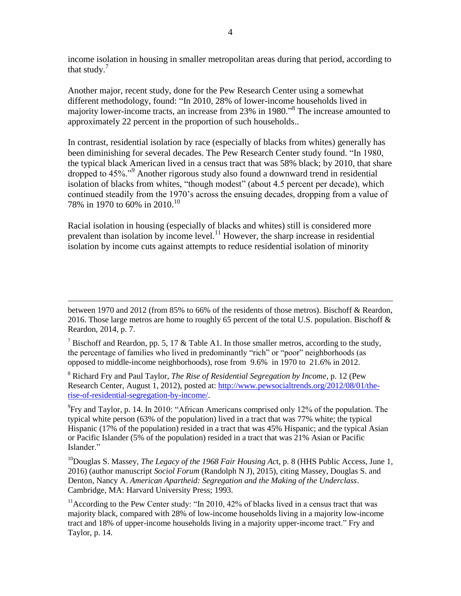income isolation in housing in smaller metropolitan areas during that period, according to that study. $<sup>7</sup>$ </sup>

Another major, recent study, done for the Pew Research Center using a somewhat different methodology, found: "In 2010, 28% of lower-income households lived in majority lower-income tracts, an increase from 23% in 1980." 8 The increase amounted to approximately 22 percent in the proportion of such households..

In contrast, residential isolation by race (especially of blacks from whites) generally has been diminishing for several decades. The Pew Research Center study found. "In 1980, the typical black American lived in a census tract that was 58% black; by 2010, that share dropped to 45%."<sup>9</sup> Another rigorous study also found a downward trend in residential isolation of blacks from whites, "though modest" (about 4.5 percent per decade), which continued steadily from the 1970's across the ensuing decades, dropping from a value of 78% in 1970 to 60% in 2010.<sup>10</sup>

Racial isolation in housing (especially of blacks and whites) still is considered more prevalent than isolation by income level.<sup>11</sup> However, the sharp increase in residential isolation by income cuts against attempts to reduce residential isolation of minority

<sup>8</sup> Richard Fry and Paul Taylor, *The Rise of Residential Segregation by Income*, p. 12 (Pew Research Center, August 1, 2012), posted at: [http://www.pewsocialtrends.org/2012/08/01/the](http://www.pewsocialtrends.org/2012/08/01/the-rise-of-residential-segregation-by-income/)[rise-of-residential-segregation-by-income/.](http://www.pewsocialtrends.org/2012/08/01/the-rise-of-residential-segregation-by-income/)

 $^{9}$ Fry and Taylor, p. 14. In 2010: "African Americans comprised only 12% of the population. The typical white person (63% of the population) lived in a tract that was 77% white; the typical Hispanic (17% of the population) resided in a tract that was 45% Hispanic; and the typical Asian or Pacific Islander (5% of the population) resided in a tract that was 21% Asian or Pacific Islander."

<sup>10</sup>Douglas S. Massey, *The Legacy of the 1968 Fair Housing Act*, p. 8 (HHS Public Access, June 1, 2016) (author manuscript *Sociol Forum* (Randolph N J), 2015), citing Massey, Douglas S. and Denton, Nancy A. *American Apartheid: Segregation and the Making of the Underclass*. Cambridge, MA: Harvard University Press; 1993.

 $11$ According to the Pew Center study: "In 2010, 42% of blacks lived in a census tract that was majority black, compared with 28% of low-income households living in a majority low-income tract and 18% of upper-income households living in a majority upper-income tract." Fry and Taylor, p. 14.

 $\overline{a}$ between 1970 and 2012 (from 85% to 66% of the residents of those metros). Bischoff & Reardon, 2016. Those large metros are home to roughly 65 percent of the total U.S. population. Bischoff  $\&$ Reardon, 2014, p. 7.

<sup>&</sup>lt;sup>7</sup> Bischoff and Reardon, pp. 5, 17 & Table A1. In those smaller metros, according to the study, the percentage of families who lived in predominantly "rich" or "poor" neighborhoods (as opposed to middle-income neighborhoods), rose from 9.6% in 1970 to 21.6% in 2012.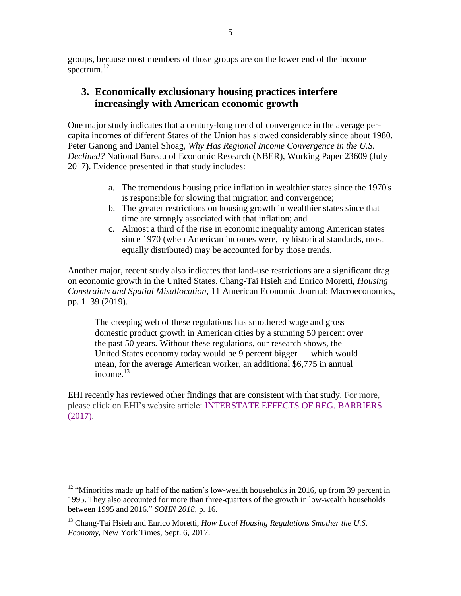groups, because most members of those groups are on the lower end of the income spectrum. $^{12}$ 

#### **3. Economically exclusionary housing practices interfere increasingly with American economic growth**

One major study indicates that a century-long trend of convergence in the average percapita incomes of different States of the Union has slowed considerably since about 1980. Peter Ganong and Daniel Shoag, *Why Has Regional Income Convergence in the U.S. Declined?* National Bureau of Economic Research (NBER), Working Paper 23609 (July 2017). Evidence presented in that study includes:

- a. The tremendous housing price inflation in wealthier states since the 1970's is responsible for slowing that migration and convergence;
- b. The greater restrictions on housing growth in wealthier states since that time are strongly associated with that inflation; and
- c. Almost a third of the rise in economic inequality among American states since 1970 (when American incomes were, by historical standards, most equally distributed) may be accounted for by those trends.

Another major, recent study also indicates that land-use restrictions are a significant drag on economic growth in the United States. Chang-Tai Hsieh and Enrico Moretti, *Housing Constraints and Spatial Misallocation,* 11 American Economic Journal: Macroeconomics, pp. 1–39 (2019).

The creeping web of these regulations has smothered wage and gross domestic product growth in American cities by a stunning 50 percent over the past 50 years. Without these regulations, our research shows, the United States economy today would be 9 percent bigger — which would mean, for the average American worker, an additional \$6,775 in annual income. $^{13}$ 

EHI recently has reviewed other findings that are consistent with that study. For more, please click on EHI's website article: [INTERSTATE EFFECTS OF REG. BARRIERS](https://www.equitablehousing.org/42-organization/154-interstate-effects-of-rbhas.html)  [\(2017\).](https://www.equitablehousing.org/42-organization/154-interstate-effects-of-rbhas.html)

 $12$  "Minorities made up half of the nation's low-wealth households in 2016, up from 39 percent in 1995. They also accounted for more than three-quarters of the growth in low-wealth households between 1995 and 2016." *SOHN 2018,* p. 16.

<sup>&</sup>lt;sup>13</sup> Chang-Tai Hsieh and Enrico Moretti, *How Local Housing Regulations Smother the U.S. Economy,* New York Times, Sept. 6, 2017.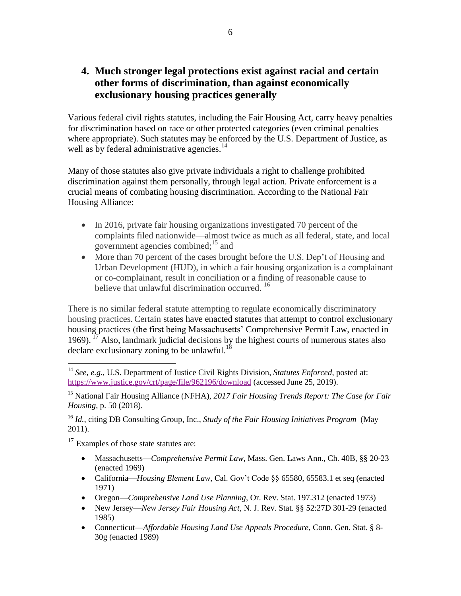### **4. Much stronger legal protections exist against racial and certain other forms of discrimination, than against economically exclusionary housing practices generally**

Various federal civil rights statutes, including the Fair Housing Act, carry heavy penalties for discrimination based on race or other protected categories (even criminal penalties where appropriate). Such statutes may be enforced by the U.S. Department of Justice, as well as by federal administrative agencies. $14$ 

Many of those statutes also give private individuals a right to challenge prohibited discrimination against them personally, through legal action. Private enforcement is a crucial means of combating housing discrimination. According to the National Fair Housing Alliance:

- In 2016, private fair housing organizations investigated 70 percent of the complaints filed nationwide—almost twice as much as all federal, state, and local government agencies combined; $^{15}$  and
- More than 70 percent of the cases brought before the U.S. Dep't of Housing and Urban Development (HUD), in which a fair housing organization is a complainant or co-complainant, result in conciliation or a finding of reasonable cause to believe that unlawful discrimination occurred.<sup>16</sup>

There is no similar federal statute attempting to regulate economically discriminatory housing practices. Certain states have enacted statutes that attempt to control exclusionary housing practices (the first being Massachusetts' Comprehensive Permit Law, enacted in 1969).  $^{17}$  Also, landmark judicial decisions by the highest courts of numerous states also declare exclusionary zoning to be unlawful.<sup>18</sup>

<sup>16</sup> *Id.*, citing DB Consulting Group, Inc., *Study of the Fair Housing Initiatives Program* (May 2011).

<sup>17</sup> Examples of those state statutes are:

- Massachusetts—*Comprehensive Permit Law*, Mass. Gen. Laws Ann., Ch. 40B, §§ 20-23 (enacted 1969)
- California—*Housing Element Law*, Cal. Gov't Code §§ 65580, 65583.1 et seq (enacted 1971)
- Oregon—*Comprehensive Land Use Planning*, Or. Rev. Stat. 197.312 (enacted 1973)
- New Jersey—*New Jersey Fair Housing Act,* N. J. Rev. Stat. §§ 52:27D 301-29 (enacted 1985)
- Connecticut—*Affordable Housing Land Use Appeals Procedure*, Conn. Gen. Stat. § 8- 30g (enacted 1989)

<sup>14</sup> *See, e.g.,* U.S. Department of Justice Civil Rights Division, *Statutes Enforced*, posted at: <https://www.justice.gov/crt/page/file/962196/download> (accessed June 25, 2019).

<sup>15</sup> National Fair Housing Alliance (NFHA), *2017 Fair Housing Trends Report: The Case for Fair Housing*, p. 50 (2018).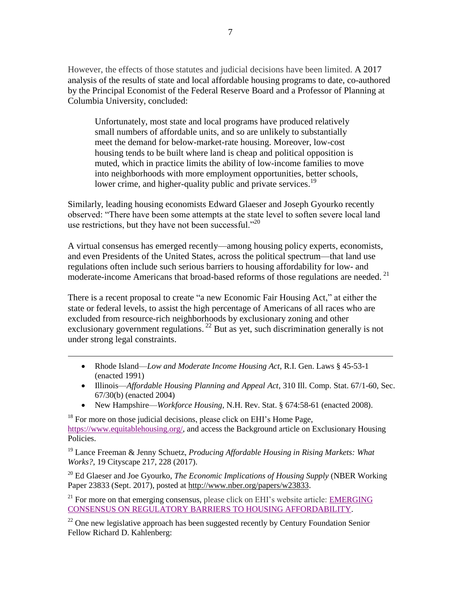However, the effects of those statutes and judicial decisions have been limited. A 2017 analysis of the results of state and local affordable housing programs to date, co-authored by the Principal Economist of the Federal Reserve Board and a Professor of Planning at Columbia University, concluded:

Unfortunately, most state and local programs have produced relatively small numbers of affordable units, and so are unlikely to substantially meet the demand for below-market-rate housing. Moreover, low-cost housing tends to be built where land is cheap and political opposition is muted, which in practice limits the ability of low-income families to move into neighborhoods with more employment opportunities, better schools, lower crime, and higher-quality public and private services.<sup>19</sup>

Similarly, leading housing economists Edward Glaeser and Joseph Gyourko recently observed: "There have been some attempts at the state level to soften severe local land use restrictions, but they have not been successful."<sup>20</sup>

A virtual consensus has emerged recently—among housing policy experts, economists, and even Presidents of the United States, across the political spectrum—that land use regulations often include such serious barriers to housing affordability for low- and moderate-income Americans that broad-based reforms of those regulations are needed. <sup>21</sup>

There is a recent proposal to create "a new Economic Fair Housing Act," at either the state or federal levels, to assist the high percentage of Americans of all races who are excluded from resource-rich neighborhoods by exclusionary zoning and other exclusionary government regulations.  $^{22}$  But as yet, such discrimination generally is not under strong legal constraints.

 Rhode Island—*Low and Moderate Income Housing Act*, R.I. Gen. Laws § 45-53-1 (enacted 1991)

 $\overline{a}$ 

- Illinois—*Affordable Housing Planning and Appeal Act*, 310 Ill. Comp. Stat. 67/1-60, Sec. 67/30(b) (enacted 2004)
- New Hampshire—*Workforce Housing,* N.H. Rev. Stat. § 674:58-61 (enacted 2008).

 $18$  For more on those judicial decisions, please click on EHI's Home Page, [https://www.equitablehousing.org/,](https://www.equitablehousing.org/) and access the Background article on [Exclusionary Housing](index.php?option=com_content&view=article&id=47:exclusionary-housing-policies&catid=43)  [Policies.](index.php?option=com_content&view=article&id=47:exclusionary-housing-policies&catid=43)

<sup>19</sup> Lance Freeman & Jenny Schuetz, *Producing Affordable Housing in Rising Markets: What Works?*, 19 Cityscape 217, 228 (2017).

<sup>20</sup> Ed Glaeser and Joe Gyourko, *The Economic Implications of Housing Supply* (NBER Working Paper 23833 (Sept. 2017), posted at [http://www.nber.org/papers/w23833.](http://www.nber.org/papers/w23833)

 $21$  For more on that emerging consensus, please click on EHI's website article: **EMERGING** [CONSENSUS ON REGULATORY BARRIERS TO HOUSING AFFORDABILITY.](https://www.equitablehousing.org/images/PDFs/Emerging-consensus-on-RBHAs.EHI-memo-final-2.pdf)

 $22$  One new legislative approach has been suggested recently by Century Foundation Senior Fellow Richard D. Kahlenberg: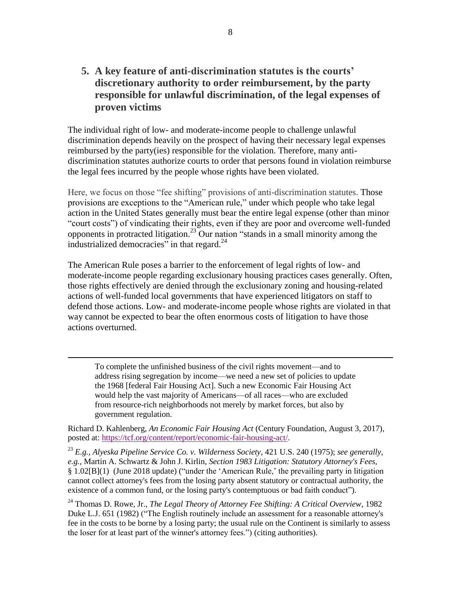**5. A key feature of anti-discrimination statutes is the courts' discretionary authority to order reimbursement, by the party responsible for unlawful discrimination, of the legal expenses of proven victims**

The individual right of low- and moderate-income people to challenge unlawful discrimination depends heavily on the prospect of having their necessary legal expenses reimbursed by the party(ies) responsible for the violation. Therefore, many antidiscrimination statutes authorize courts to order that persons found in violation reimburse the legal fees incurred by the people whose rights have been violated.

Here, we focus on those "fee shifting" provisions of anti-discrimination statutes. Those provisions are exceptions to the "American rule," under which people who take legal action in the United States generally must bear the entire legal expense (other than minor "court costs") of vindicating their rights, even if they are poor and overcome well-funded opponents in protracted litigation.<sup>23</sup> Our nation "stands in a small minority among the industrialized democracies" in that regard. $^{24}$ 

The American Rule poses a barrier to the enforcement of legal rights of low- and moderate-income people regarding exclusionary housing practices cases generally. Often, those rights effectively are denied through the exclusionary zoning and housing-related actions of well-funded local governments that have experienced litigators on staff to defend those actions. Low- and moderate-income people whose rights are violated in that way cannot be expected to bear the often enormous costs of litigation to have those actions overturned.

To complete the unfinished business of the civil rights movement—and to address rising segregation by income—we need a new set of policies to update the 1968 [federal Fair Housing Act]. Such a new Economic Fair Housing Act would help the vast majority of Americans—of all races—who are excluded from resource-rich neighborhoods not merely by market forces, but also by government regulation.

 $\overline{a}$ 

Richard D. Kahlenberg, *An Economic Fair Housing Act* (Century Foundation, August 3, 2017), posted at: [https://tcf.org/content/report/economic-fair-housing-act/.](https://tcf.org/content/report/economic-fair-housing-act/)

<sup>23</sup> *E.g., Alyeska Pipeline Service Co. v. Wilderness Society*, 421 U.S. 240 (1975); *see generally, e.g.,* Martin A. Schwartz & John J. Kirlin, *Section 1983 Litigation: Statutory Attorney's Fees,* § 1.02[B](1) (June 2018 update) ("under the 'American Rule,' the prevailing party in litigation cannot collect attorney's fees from the losing party absent statutory or contractual authority, the existence of a common fund, or the losing party's contemptuous or bad faith conduct").

<sup>24</sup> Thomas D. Rowe, Jr., *The Legal Theory of Attorney Fee Shifting: A Critical Overview*, 1982 Duke L.J. 651 (1982) ("The English routinely include an assessment for a reasonable attorney's fee in the costs to be borne by a losing party; the usual rule on the Continent is similarly to assess the loser for at least part of the winner's attorney fees.") (citing authorities).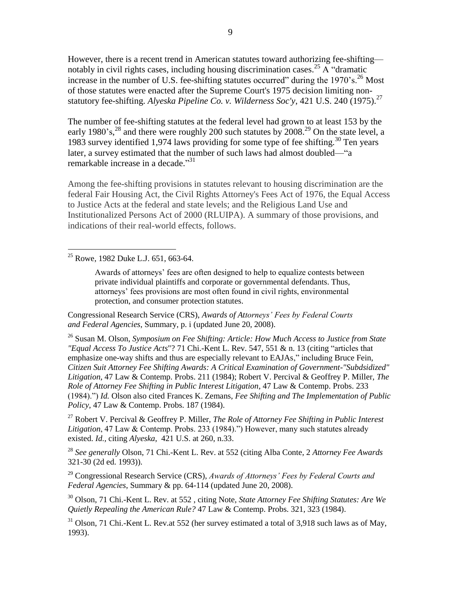However, there is a recent trend in American statutes toward authorizing fee-shifting notably in civil rights cases, including housing discrimination cases.<sup>25</sup> A "dramatic increase in the number of U.S. fee-shifting statutes occurred" during the  $1970$ 's.<sup>26</sup> Most of those statutes were enacted after the Supreme Court's 1975 decision limiting nonstatutory fee-shifting. *Alyeska Pipeline Co. v. Wilderness Soc'y*, 421 U.S. 240 (1975).<sup>27</sup>

The number of fee-shifting statutes at the federal level had grown to at least 153 by the early 1980's,<sup>28</sup> and there were roughly 200 such statutes by 2008.<sup>29</sup> On the state level, a 1983 survey identified 1,974 laws providing for some type of fee shifting.<sup>30</sup> Ten years later, a survey estimated that the number of such laws had almost doubled—"a remarkable increase in a decade."<sup>31</sup>

Among the fee-shifting provisions in statutes relevant to housing discrimination are the federal Fair Housing Act, the Civil Rights Attorney's Fees Act of 1976, the Equal Access to Justice Acts at the federal and state levels; and the Religious Land Use and Institutionalized Persons Act of 2000 (RLUIPA). A summary of those provisions, and indications of their real-world effects, follows.

 $25$  Rowe, 1982 Duke L.J. 651, 663-64.

 $\overline{a}$ 

Awards of attorneys' fees are often designed to help to equalize contests between private individual plaintiffs and corporate or governmental defendants. Thus, attorneys' fees provisions are most often found in civil rights, environmental protection, and consumer protection statutes.

Congressional Research Service (CRS), *Awards of Attorneys' Fees by Federal Courts and Federal Agencies*, Summary, p. i (updated June 20, 2008).

<sup>26</sup> Susan M. Olson, *Symposium on Fee Shifting: Article: How Much Access to Justice from State "Equal Access To Justice Acts*"? 71 Chi.-Kent L. Rev. 547, 551 & n. 13 (citing "articles that emphasize one-way shifts and thus are especially relevant to EAJAs," including Bruce Fein, *Citizen Suit Attorney Fee Shifting Awards: A Critical Examination of Government-"Subdsidized" Litigation*, 47 Law & Contemp. Probs. 211 (1984); Robert V. Percival & Geoffrey P. Miller, *The Role of Attorney Fee Shifting in Public Interest Litigation*, 47 Law & Contemp. Probs. 233 (1984).") *Id.* Olson also cited Frances K. Zemans, *Fee Shifting and The Implementation of Public Policy*, 47 Law & Contemp. Probs. 187 (1984).

<sup>27</sup> Robert V. Percival & Geoffrey P. Miller, *The Role of Attorney Fee Shifting in Public Interest Litigation*, 47 Law & Contemp. Probs. 233 (1984).") However, many such statutes already existed. *Id.,* citing *Alyeska*, 421 U.S. at 260, n.33.

<sup>28</sup> *See generally* Olson, 71 Chi.-Kent L. Rev. at 552 (citing Alba Conte, 2 *Attorney Fee Awards*  321-30 (2d ed. 1993)).

<sup>29</sup> Congressional Research Service (CRS), *Awards of Attorneys' Fees by Federal Courts and Federal Agencies*, Summary & pp. 64-114 (updated June 20, 2008).

<sup>30</sup> Olson, 71 Chi.-Kent L. Rev. at 552 , citing Note, *State Attorney Fee Shifting Statutes: Are We Quietly Repealing the American Rule?* 47 Law & Contemp. Probs. 321, 323 (1984).

 $31$  Olson, 71 Chi.-Kent L. Rev.at 552 (her survey estimated a total of 3,918 such laws as of May, 1993).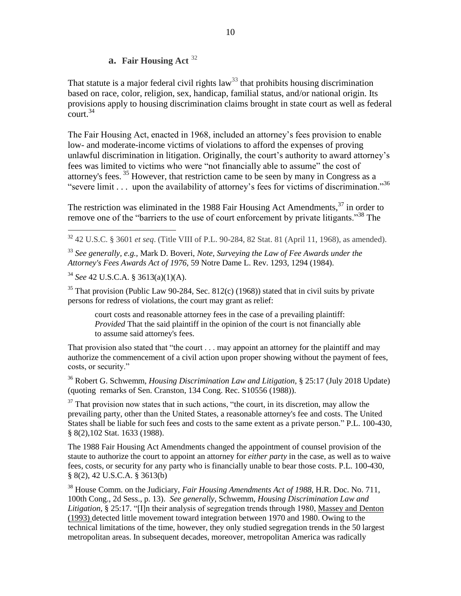#### **a. Fair Housing Act** <sup>32</sup>

That statute is a major federal civil rights law<sup>33</sup> that prohibits housing discrimination based on race, color, religion, sex, handicap, familial status, and/or national origin. Its provisions apply to housing discrimination claims brought in state court as well as federal  $\frac{2}{3}$ court.<sup>34</sup>

The Fair Housing Act, enacted in 1968, included an attorney's fees provision to enable low- and moderate-income victims of violations to afford the expenses of proving unlawful discrimination in litigation. Originally, the court's authority to award attorney's fees was limited to victims who were "not financially able to assume" the cost of attorney's fees. <sup>35</sup> However, that restriction came to be seen by many in Congress as a "severe limit . . . upon the availability of attorney's fees for victims of discrimination."<sup>36</sup>

The restriction was eliminated in the 1988 Fair Housing Act Amendments,  $37$  in order to remove one of the "barriers to the use of court enforcement by private litigants."<sup>38</sup> The

<sup>32</sup> 42 U.S.C. § 3601 *et seq*. (Title VIII of P.L. 90-284, 82 Stat. 81 (April 11, 1968), as amended).

<sup>33</sup> *See generally, e.g.,* Mark D. Boveri, *Note, Surveying the Law of Fee Awards under the Attorney's Fees Awards Act of 1976*, 59 Notre Dame L. Rev. 1293, 1294 (1984).

<sup>34</sup> *See* 42 U.S.C.A. § 3613(a)(1)(A).

 $\overline{a}$ 

<sup>35</sup> That provision (Public Law 90-284, Sec. 812(c) (1968)) stated that in civil suits by private persons for redress of violations, the court may grant as relief:

court costs and reasonable attorney fees in the case of a prevailing plaintiff: *Provided* That the said plaintiff in the opinion of the court is not financially able to assume said attorney's fees.

That provision also stated that "the court . . . may appoint an attorney for the plaintiff and may authorize the commencement of a civil action upon proper showing without the payment of fees, costs, or security."

<sup>36</sup> Robert G. Schwemm, *Housing Discrimination Law and Litigation*, § 25:17 (July 2018 Update) (quoting remarks of Sen. Cranston, 134 Cong. Rec. S10556 (1988)).

 $37$  That provision now states that in such actions, "the court, in its discretion, may allow the prevailing party, other than the United States, a reasonable attorney's fee and costs. The United States shall be liable for such fees and costs to the same extent as a private person." P.L. 100-430, § 8(2),102 Stat. 1633 (1988).

The 1988 Fair Housing Act Amendments changed the appointment of counsel provision of the staute to authorize the court to appoint an attorney for *either party* in the case, as well as to waive fees, costs, or security for any party who is financially unable to bear those costs. P.L. 100-430, § 8(2), 42 U.S.C.A. § 3613(b)

<sup>38</sup> House Comm. on the Judiciary, *Fair Housing Amendments Act of 1988*, H.R. Doc. No. 711, 100th Cong., 2d Sess., p. 13). *See generally,* Schwemm, *Housing Discrimination Law and Litigation*, § 25:17. "[I]n their analysis of segregation trends through 1980, Massey and Denton (1993) detected little movement toward integration between 1970 and 1980. Owing to the technical limitations of the time, however, they only studied segregation trends in the 50 largest metropolitan areas. In subsequent decades, moreover, metropolitan America was radically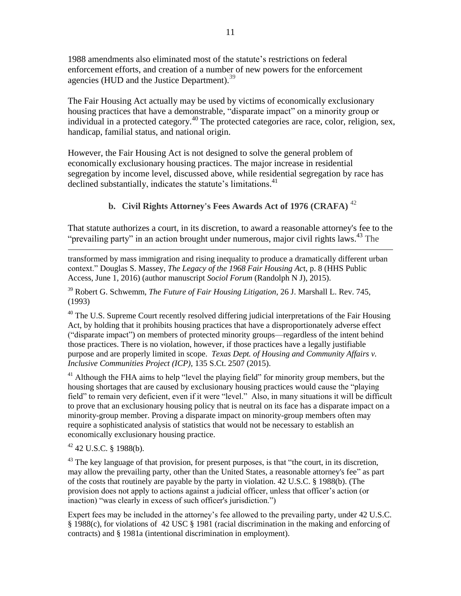1988 amendments also eliminated most of the statute's restrictions on federal enforcement efforts, and creation of a number of new powers for the enforcement agencies (HUD and the Justice Department).<sup>39</sup>

The Fair Housing Act actually may be used by victims of economically exclusionary housing practices that have a demonstrable, "disparate impact" on a minority group or individual in a protected category.<sup>40</sup> The protected categories are race, color, religion, sex, handicap, familial status, and national origin.

However, the Fair Housing Act is not designed to solve the general problem of economically exclusionary housing practices. The major increase in residential segregation by income level, discussed above, while residential segregation by race has declined substantially, indicates the statute's limitations.<sup>41</sup>

#### **b. Civil Rights Attorney's Fees Awards Act of 1976 (CRAFA)** <sup>42</sup>

That statute authorizes a court, in its discretion, to award a reasonable attorney's fee to the "prevailing party" in an action brought under numerous, major civil rights laws.<sup>43</sup> The

transformed by mass immigration and rising inequality to produce a dramatically different urban context." Douglas S. Massey, *The Legacy of the 1968 Fair Housing Ac*t, p. 8 (HHS Public Access, June 1, 2016) (author manuscript *Sociol Forum* (Randolph N J), 2015).

<sup>39</sup> Robert G. Schwemm, *The Future of Fair Housing Litigation*, 26 J. Marshall L. Rev. 745, (1993)

 $40$  The U.S. Supreme Court recently resolved differing judicial interpretations of the Fair Housing Act, by holding that it prohibits housing practices that have a disproportionately adverse effect ("disparate impact") on members of protected minority groups—regardless of the intent behind those practices. There is no violation, however, if those practices have a legally justifiable purpose and are properly limited in scope. *Texas Dept. of Housing and Community Affairs v. Inclusive Communities Project (ICP)*, 135 S.Ct. 2507 (2015).

 $41$  Although the FHA aims to help "level the playing field" for minority group members, but the housing shortages that are caused by exclusionary housing practices would cause the "playing field" to remain very deficient, even if it were "level." Also, in many situations it will be difficult to prove that an exclusionary housing policy that is neutral on its face has a disparate impact on a minority-group member. Proving a disparate impact on minority-group members often may require a sophisticated analysis of statistics that would not be necessary to establish an economically exclusionary housing practice.

 $42$  42 U.S.C. § 1988(b).

 $\overline{a}$ 

 $^{43}$  The key language of that provision, for present purposes, is that "the court, in its discretion, may allow the prevailing party, other than the United States, a reasonable attorney's fee" as part of the costs that routinely are payable by the party in violation. 42 U.S.C. § 1988(b). (The provision does not apply to actions against a judicial officer, unless that officer's action (or inaction) "was clearly in excess of such officer's jurisdiction.")

Expert fees may be included in the attorney's fee allowed to the prevailing party, under 42 U.S.C. § 1988(c), for violations of 42 USC § 1981 (racial discrimination in the making and enforcing of contracts) and § 1981a (intentional discrimination in employment).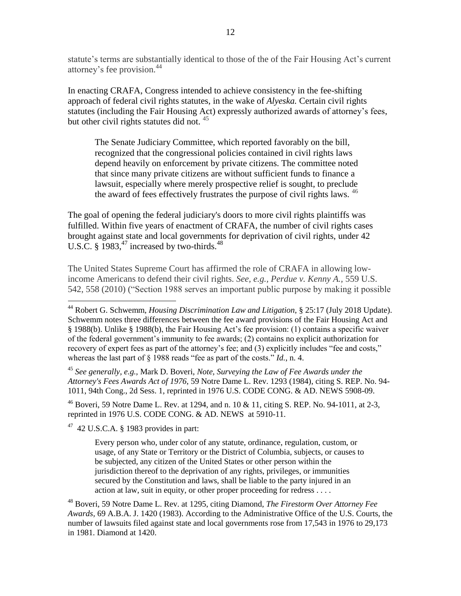statute's terms are substantially identical to those of the of the Fair Housing Act's current attorney's fee provision. 44

In enacting CRAFA, Congress intended to achieve consistency in the fee-shifting approach of federal civil rights statutes, in the wake of *Alyeska.* Certain civil rights statutes (including the Fair Housing Act) expressly authorized awards of attorney's fees, but other civil rights statutes did not.  $45$ 

The Senate Judiciary Committee, which reported favorably on the bill, recognized that the congressional policies contained in civil rights laws depend heavily on enforcement by private citizens. The committee noted that since many private citizens are without sufficient funds to finance a lawsuit, especially where merely prospective relief is sought, to preclude the award of fees effectively frustrates the purpose of civil rights laws.  $46$ 

The goal of opening the federal judiciary's doors to more civil rights plaintiffs was fulfilled. Within five years of enactment of CRAFA, the number of civil rights cases brought against state and local governments for deprivation of civil rights, under 42 U.S.C. §  $1983$ ,<sup>47</sup> increased by two-thirds.<sup>48</sup>

The United States Supreme Court has affirmed the role of CRAFA in allowing lowincome Americans to defend their civil rights. *See, e.g., Perdue v. Kenny A.,* 559 U.S. 542, 558 (2010) ("Section 1988 serves an important public purpose by making it possible

<sup>45</sup> *See generally, e.g.,* Mark D. Boveri, *Note, Surveying the Law of Fee Awards under the Attorney's Fees Awards Act of 1976*, 59 Notre Dame L. Rev. 1293 (1984), citing S. REP. No. 94- 1011, 94th Cong., 2d Sess. 1, reprinted in 1976 U.S. CODE CONG. & AD. NEWS 5908-09.

 $^{46}$  Boveri, 59 Notre Dame L. Rev. at 1294, and n. 10 & 11, citing S. REP. No. 94-1011, at 2-3, reprinted in 1976 U.S. CODE CONG. & AD. NEWS at 5910-11.

 $47$  42 U.S.C.A. § 1983 provides in part:

 $\overline{a}$ 

Every person who, under color of any statute, ordinance, regulation, custom, or usage, of any State or Territory or the District of Columbia, subjects, or causes to be subjected, any citizen of the United States or other person within the jurisdiction thereof to the deprivation of any rights, privileges, or immunities secured by the Constitution and laws, shall be liable to the party injured in an action at law, suit in equity, or other proper proceeding for redress . . . .

<sup>48</sup> Boveri, 59 Notre Dame L. Rev. at 1295, citing Diamond, *The Firestorm Over Attorney Fee Awards,* 69 A.B.A. J. 1420 (1983). According to the Administrative Office of the U.S. Courts, the number of lawsuits filed against state and local governments rose from 17,543 in 1976 to 29,173 in 1981. Diamond at 1420.

<sup>44</sup> Robert G. Schwemm, *Housing Discrimination Law and Litigation*, § 25:17 (July 2018 Update). Schwemm notes three differences between the fee award provisions of the Fair Housing Act and § 1988(b). Unlike § 1988(b), the Fair Housing Act's fee provision: (1) contains a specific waiver of the federal government's immunity to fee awards; (2) contains no explicit authorization for recovery of expert fees as part of the attorney's fee; and (3) explicitly includes "fee and costs," whereas the last part of § 1988 reads "fee as part of the costs." *Id.*, n. 4.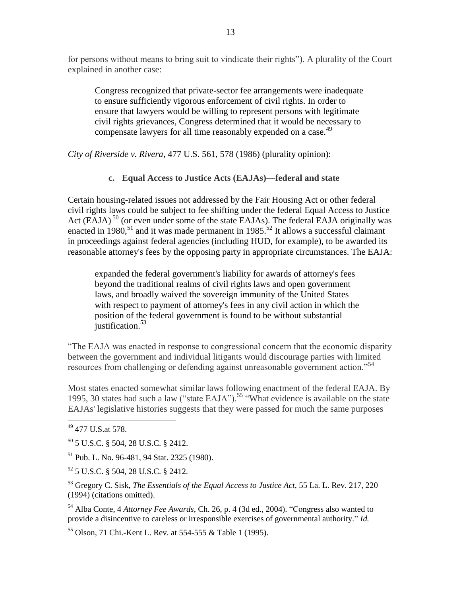for persons without means to bring suit to vindicate their rights"). A plurality of the Court explained in another case:

Congress recognized that private-sector fee arrangements were inadequate to ensure sufficiently vigorous enforcement of civil rights. In order to ensure that lawyers would be willing to represent persons with legitimate civil rights grievances, Congress determined that it would be necessary to compensate lawyers for all time reasonably expended on a case.<sup>49</sup>

*City of Riverside v. Rivera*, 477 U.S. 561, 578 (1986) (plurality opinion):

**c. Equal Access to Justice Acts (EAJAs)—federal and state** 

Certain housing-related issues not addressed by the Fair Housing Act or other federal civil rights laws could be subject to fee shifting under the federal Equal Access to Justice Act (EAJA)<sup>50</sup> (or even under some of the state EAJAs). The federal EAJA originally was enacted in 1980,<sup>51</sup> and it was made permanent in 1985.<sup>52</sup> It allows a successful claimant in proceedings against federal agencies (including HUD, for example), to be awarded its reasonable attorney's fees by the opposing party in appropriate circumstances. The EAJA:

expanded the federal government's liability for awards of attorney's fees beyond the traditional realms of civil rights laws and open government laws, and broadly waived the sovereign immunity of the United States with respect to payment of attorney's fees in any civil action in which the position of the federal government is found to be without substantial iustification. $53$ 

"The EAJA was enacted in response to congressional concern that the economic disparity between the government and individual litigants would discourage parties with limited resources from challenging or defending against unreasonable government action.<sup>554</sup>

Most states enacted somewhat similar laws following enactment of the federal EAJA. By 1995, 30 states had such a law ("state EAJA"). <sup>55</sup> "What evidence is available on the state EAJAs' legislative histories suggests that they were passed for much the same purposes

<sup>49</sup> 477 U.S.at 578.

<sup>50</sup> 5 U.S.C. § 504, 28 U.S.C. § 2412.

<sup>51</sup> Pub. L. No. 96-481, 94 Stat. 2325 (1980).

<sup>52</sup> 5 U.S.C. § 504, 28 U.S.C. § 2412.

<sup>53</sup> Gregory C. Sisk, *The Essentials of the Equal Access to Justice Act*, 55 La. L. Rev. 217, 220 (1994) (citations omitted).

<sup>54</sup> Alba Conte, 4 *Attorney Fee Awards*, Ch. 26, p. 4 (3d ed., 2004). "Congress also wanted to provide a disincentive to careless or irresponsible exercises of governmental authority." *Id.*

<sup>55</sup> Olson, 71 Chi.-Kent L. Rev. at 554-555 & Table 1 (1995).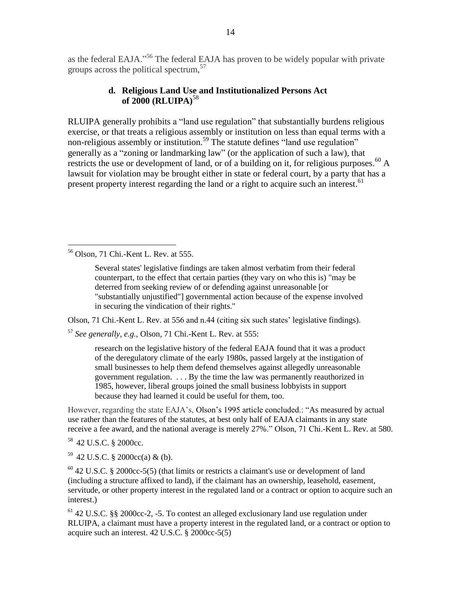as the federal EAJA."<sup>56</sup> The federal EAJA has proven to be widely popular with private groups across the political spectrum,<sup>57</sup>

#### **d. Religious Land Use and Institutionalized Persons Act of 2000 (RLUIPA)**<sup>58</sup>

RLUIPA generally prohibits a "land use regulation" that substantially burdens religious exercise, or that treats a religious assembly or institution on less than equal terms with a non-religious assembly or institution.<sup>59</sup> The statute defines "land use regulation" generally as a "zoning or landmarking law" (or the application of such a law), that restricts the use or development of land, or of a building on it, for religious purposes.<sup>60</sup> A lawsuit for violation may be brought either in state or federal court, by a party that has a present property interest regarding the land or a right to acquire such an interest.<sup>61</sup>

<sup>56</sup> Olson, 71 Chi.-Kent L. Rev. at 555.

 $\overline{a}$ 

Several states' legislative findings are taken almost verbatim from their federal counterpart, to the effect that certain parties (they vary on who this is) "may be deterred from seeking review of or defending against unreasonable [or "substantially unjustified"] governmental action because of the expense involved in securing the vindication of their rights."

Olson, 71 Chi.-Kent L. Rev. at 556 and n.44 (citing six such states' legislative findings).

<sup>57</sup> *See generally, e.g.,* Olson, 71 Chi.-Kent L. Rev. at 555:

research on the legislative history of the federal EAJA found that it was a product of the deregulatory climate of the early 1980s, passed largely at the instigation of small businesses to help them defend themselves against allegedly unreasonable government regulation. . . . By the time the law was permanently reauthorized in 1985, however, liberal groups joined the small business lobbyists in support because they had learned it could be useful for them, too.

However, regarding the state EAJA's, Olson's 1995 article concluded.: "As measured by actual use rather than the features of the statutes, at best only half of EAJA claimants in any state receive a fee award, and the national average is merely 27%." Olson, 71 Chi.-Kent L. Rev. at 580.

<sup>58</sup> 42 U.S.C. § 2000cc.

 $59$  42 U.S.C. § 2000cc(a) & (b).

 $^{60}$  42 U.S.C. § 2000cc-5(5) (that limits or restricts a claimant's use or development of land (including a structure affixed to land), if the claimant has an ownership, leasehold, easement, servitude, or other property interest in the regulated land or a contract or option to acquire such an interest.)

<sup>61</sup> 42 U.S.C. §§ 2000cc-2, -5. To contest an alleged exclusionary land use regulation under RLUIPA, a claimant must have a property interest in the regulated land, or a contract or option to acquire such an interest. 42 U.S.C. § 2000cc-5(5)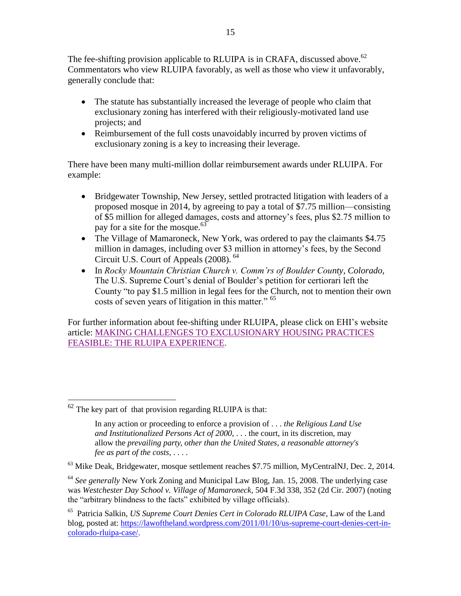The fee-shifting provision applicable to RLUIPA is in CRAFA, discussed above.<sup>62</sup> Commentators who view RLUIPA favorably, as well as those who view it unfavorably, generally conclude that:

- The statute has substantially increased the leverage of people who claim that exclusionary zoning has interfered with their religiously-motivated land use projects; and
- Reimbursement of the full costs unavoidably incurred by proven victims of exclusionary zoning is a key to increasing their leverage.

There have been many multi-million dollar reimbursement awards under RLUIPA. For example:

- Bridgewater Township, New Jersey, settled protracted litigation with leaders of a proposed mosque in 2014, by agreeing to pay a total of \$7.75 million—consisting of \$5 million for alleged damages, costs and attorney's fees, plus \$2.75 million to pay for a site for the mosque.<sup>63</sup>
- The Village of Mamaroneck, New York, was ordered to pay the claimants \$4.75 million in damages, including over \$3 million in attorney's fees, by the Second Circuit U.S. Court of Appeals (2008). <sup>64</sup>
- In *Rocky Mountain Christian Church v. Comm'rs of Boulder County, Colorado*, The U.S. Supreme Court's denial of Boulder's petition for certiorari left the County "to pay \$1.5 million in legal fees for the Church, not to mention their own costs of seven years of litigation in this matter." <sup>65</sup>

For further information about fee-shifting under RLUIPA, please click on EHI's website article: [MAKING CHALLENGES TO EXCLUSIONARY HOUSING PRACTICES](https://www.equitablehousing.org/images/PDFs/PDFs--2018-/Affording_challenges_to_XHPs-RLUIPA-example.EHI-6-2018.pdf)  [FEASIBLE: THE RLUIPA EXPERIENCE.](https://www.equitablehousing.org/images/PDFs/PDFs--2018-/Affording_challenges_to_XHPs-RLUIPA-example.EHI-6-2018.pdf)

 $62$  The key part of that provision regarding RLUIPA is that:

In any action or proceeding to enforce a provision of . . . *the Religious Land Use and Institutionalized Persons Act of 2000*, . . . the court, in its discretion, may allow the *prevailing party, other than the United States, a reasonable attorney's fee as part of the costs,* . . . .

 $63$  Mike Deak, Bridgewater, mosque settlement reaches \$7.75 million, MyCentralNJ, Dec. 2, 2014.

<sup>64</sup> *See generally* New York Zoning and Municipal Law Blog, Jan. 15, 2008. The underlying case was *Westchester Day School v. Village of Mamaroneck*, 504 F.3d 338, 352 (2d Cir. 2007) (noting the "arbitrary blindness to the facts" exhibited by village officials).

<sup>65</sup> Patricia Salkin, *US Supreme Court Denies Cert in Colorado RLUIPA Case*, Law of the Land blog, posted at: [https://lawoftheland.wordpress.com/2011/01/10/us-supreme-court-denies-cert-in](https://lawoftheland.wordpress.com/2011/01/10/us-supreme-court-denies-cert-in-colorado-rluipa-case/)[colorado-rluipa-case/.](https://lawoftheland.wordpress.com/2011/01/10/us-supreme-court-denies-cert-in-colorado-rluipa-case/)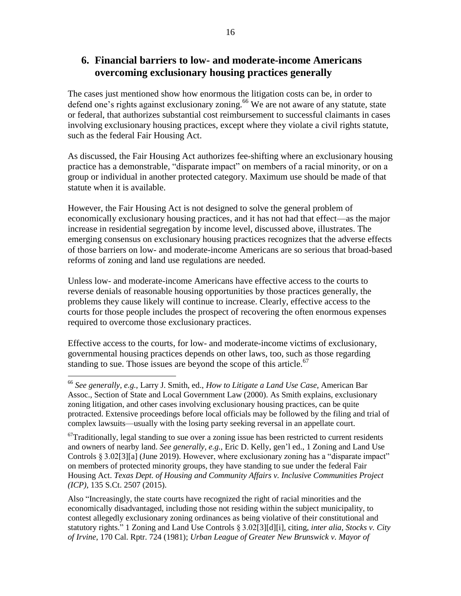### **6. Financial barriers to low- and moderate-income Americans overcoming exclusionary housing practices generally**

The cases just mentioned show how enormous the litigation costs can be, in order to defend one's rights against exclusionary zoning.<sup>66</sup> We are not aware of any statute, state or federal, that authorizes substantial cost reimbursement to successful claimants in cases involving exclusionary housing practices, except where they violate a civil rights statute, such as the federal Fair Housing Act.

As discussed, the Fair Housing Act authorizes fee-shifting where an exclusionary housing practice has a demonstrable, "disparate impact" on members of a racial minority, or on a group or individual in another protected category. Maximum use should be made of that statute when it is available.

However, the Fair Housing Act is not designed to solve the general problem of economically exclusionary housing practices, and it has not had that effect—as the major increase in residential segregation by income level, discussed above, illustrates. The emerging consensus on exclusionary housing practices recognizes that the adverse effects of those barriers on low- and moderate-income Americans are so serious that broad-based reforms of zoning and land use regulations are needed.

Unless low- and moderate-income Americans have effective access to the courts to reverse denials of reasonable housing opportunities by those practices generally, the problems they cause likely will continue to increase. Clearly, effective access to the courts for those people includes the prospect of recovering the often enormous expenses required to overcome those exclusionary practices.

Effective access to the courts, for low- and moderate-income victims of exclusionary, governmental housing practices depends on other laws, too, such as those regarding standing to sue. Those issues are beyond the scope of this article.<sup>67</sup>

<sup>66</sup> *See generally, e.g.,* Larry J. Smith, ed., *How to Litigate a Land Use Case*, American Bar Assoc., Section of State and Local Government Law (2000). As Smith explains, exclusionary zoning litigation, and other cases involving exclusionary housing practices, can be quite protracted. Extensive proceedings before local officials may be followed by the filing and trial of complex lawsuits—usually with the losing party seeking reversal in an appellate court.

 $67$ Traditionally, legal standing to sue over a zoning issue has been restricted to current residents and owners of nearby land. *See generally, e.g.,* Eric D. Kelly, gen'l ed., 1 Zoning and Land Use Controls § 3.02[3][a] (June 2019). However, where exclusionary zoning has a "disparate impact" on members of protected minority groups, they have standing to sue under the federal Fair Housing Act. *Texas Dept. of Housing and Community Affairs v. Inclusive Communities Project (ICP)*, 135 S.Ct. 2507 (2015).

Also "Increasingly, the state courts have recognized the right of racial minorities and the economically disadvantaged, including those not residing within the subject municipality, to contest allegedly exclusionary zoning ordinances as being violative of their constitutional and statutory rights." 1 Zoning and Land Use Controls § 3.02[3][d][i], citing, *inter alia, Stocks v. City of Irvine*, 170 Cal. Rptr. 724 (1981); *Urban League of Greater New Brunswick v. Mayor of*